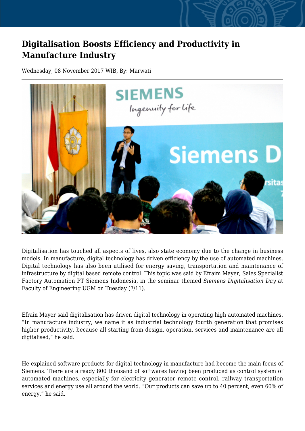## **Digitalisation Boosts Efficiency and Productivity in Manufacture Industry**

Wednesday, 08 November 2017 WIB, By: Marwati



Digitalisation has touched all aspects of lives, also state economy due to the change in business models. In manufacture, digital technology has driven efficiency by the use of automated machines. Digital technology has also been utilised for energy saving, transportation and maintenance of infrastructure by digital based remote control. This topic was said by Efraim Mayer, Sales Specialist Factory Automation PT Siemens Indonesia, in the seminar themed *Siemens Digitalisation Day* at Faculty of Engineering UGM on Tuesday (7/11).

Efrain Mayer said digitalisation has driven digital technology in operating high automated machines. "In manufacture industry, we name it as industrial technology fourth generation that promises higher productivity, because all starting from design, operation, services and maintenance are all digitalised," he said.

He explained software products for digital technology in manufacture had become the main focus of Siemens. There are already 800 thousand of softwares having been produced as control system of automated machines, especially for elecricity generator remote control, railway transportation services and energy use all around the world. "Our products can save up to 40 percent, even 60% of energy," he said.